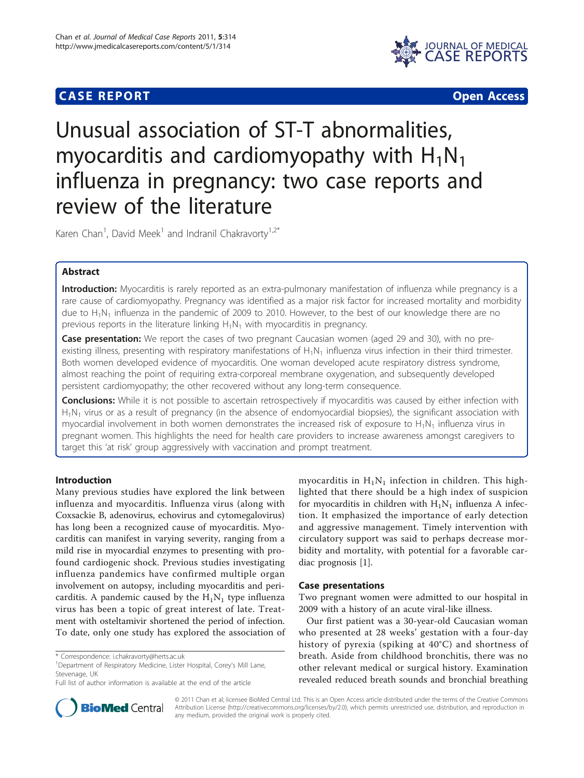# **CASE REPORT CASE REPORT CASE ACCESS**



# Unusual association of ST-T abnormalities, myocarditis and cardiomyopathy with  $H_1N_1$ influenza in pregnancy: two case reports and review of the literature

Karen Chan<sup>1</sup>, David Meek<sup>1</sup> and Indranil Chakravorty<sup>1,2\*</sup>

# Abstract

Introduction: Myocarditis is rarely reported as an extra-pulmonary manifestation of influenza while pregnancy is a rare cause of cardiomyopathy. Pregnancy was identified as a major risk factor for increased mortality and morbidity due to  $H_1N_1$  influenza in the pandemic of 2009 to 2010. However, to the best of our knowledge there are no previous reports in the literature linking  $H_1N_1$  with myocarditis in pregnancy.

**Case presentation:** We report the cases of two pregnant Caucasian women (aged 29 and 30), with no preexisting illness, presenting with respiratory manifestations of  $H_1N_1$  influenza virus infection in their third trimester. Both women developed evidence of myocarditis. One woman developed acute respiratory distress syndrome, almost reaching the point of requiring extra-corporeal membrane oxygenation, and subsequently developed persistent cardiomyopathy; the other recovered without any long-term consequence.

**Conclusions:** While it is not possible to ascertain retrospectively if myocarditis was caused by either infection with  $H_1N_1$  virus or as a result of pregnancy (in the absence of endomyocardial biopsies), the significant association with myocardial involvement in both women demonstrates the increased risk of exposure to  $H_1N_1$  influenza virus in pregnant women. This highlights the need for health care providers to increase awareness amongst caregivers to target this 'at risk' group aggressively with vaccination and prompt treatment.

# Introduction

Many previous studies have explored the link between influenza and myocarditis. Influenza virus (along with Coxsackie B, adenovirus, echovirus and cytomegalovirus) has long been a recognized cause of myocarditis. Myocarditis can manifest in varying severity, ranging from a mild rise in myocardial enzymes to presenting with profound cardiogenic shock. Previous studies investigating influenza pandemics have confirmed multiple organ involvement on autopsy, including myocarditis and pericarditis. A pandemic caused by the  $H_1N_1$  type influenza virus has been a topic of great interest of late. Treatment with osteltamivir shortened the period of infection. To date, only one study has explored the association of

<sup>1</sup>Department of Respiratory Medicine, Lister Hospital, Corey's Mill Lane, Stevenage, UK

myocarditis in  $H_1N_1$  infection in children. This highlighted that there should be a high index of suspicion for myocarditis in children with  $H_1N_1$  influenza A infection. It emphasized the importance of early detection and aggressive management. Timely intervention with circulatory support was said to perhaps decrease morbidity and mortality, with potential for a favorable cardiac prognosis [\[1\]](#page-3-0).

# Case presentations

Two pregnant women were admitted to our hospital in 2009 with a history of an acute viral-like illness.

Our first patient was a 30-year-old Caucasian woman who presented at 28 weeks' gestation with a four-day history of pyrexia (spiking at 40°C) and shortness of breath. Aside from childhood bronchitis, there was no other relevant medical or surgical history. Examination revealed reduced breath sounds and bronchial breathing



© 2011 Chan et al; licensee BioMed Central Ltd. This is an Open Access article distributed under the terms of the Creative Commons Attribution License [\(http://creativecommons.org/licenses/by/2.0](http://creativecommons.org/licenses/by/2.0)), which permits unrestricted use, distribution, and reproduction in any medium, provided the original work is properly cited.

<sup>\*</sup> Correspondence: [i.chakravorty@herts.ac.uk](mailto:i.chakravorty@herts.ac.uk)

Full list of author information is available at the end of the article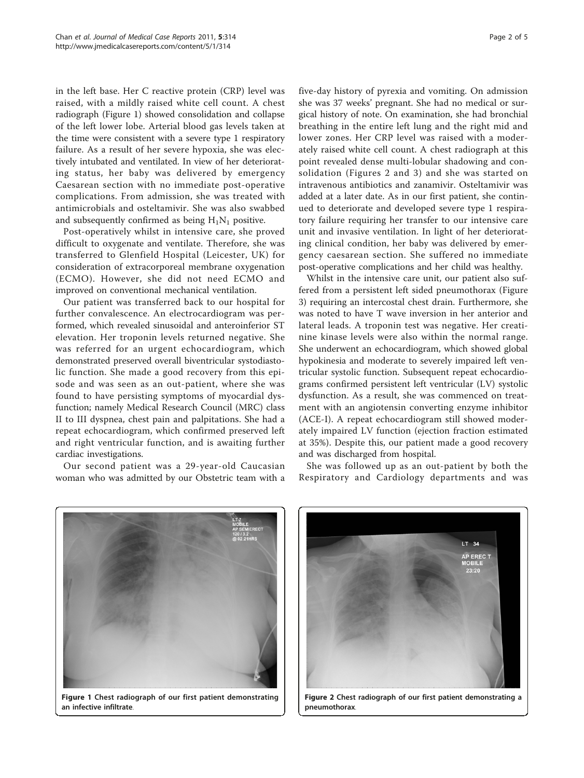in the left base. Her C reactive protein (CRP) level was raised, with a mildly raised white cell count. A chest radiograph (Figure 1) showed consolidation and collapse of the left lower lobe. Arterial blood gas levels taken at the time were consistent with a severe type 1 respiratory failure. As a result of her severe hypoxia, she was electively intubated and ventilated. In view of her deteriorating status, her baby was delivered by emergency Caesarean section with no immediate post-operative complications. From admission, she was treated with antimicrobials and osteltamivir. She was also swabbed and subsequently confirmed as being  $H_1N_1$  positive.

Post-operatively whilst in intensive care, she proved difficult to oxygenate and ventilate. Therefore, she was transferred to Glenfield Hospital (Leicester, UK) for consideration of extracorporeal membrane oxygenation (ECMO). However, she did not need ECMO and improved on conventional mechanical ventilation.

Our patient was transferred back to our hospital for further convalescence. An electrocardiogram was performed, which revealed sinusoidal and anteroinferior ST elevation. Her troponin levels returned negative. She was referred for an urgent echocardiogram, which demonstrated preserved overall biventricular systodiastolic function. She made a good recovery from this episode and was seen as an out-patient, where she was found to have persisting symptoms of myocardial dysfunction; namely Medical Research Council (MRC) class II to III dyspnea, chest pain and palpitations. She had a repeat echocardiogram, which confirmed preserved left and right ventricular function, and is awaiting further cardiac investigations.

Our second patient was a 29-year-old Caucasian woman who was admitted by our Obstetric team with a

five-day history of pyrexia and vomiting. On admission she was 37 weeks' pregnant. She had no medical or surgical history of note. On examination, she had bronchial breathing in the entire left lung and the right mid and lower zones. Her CRP level was raised with a moderately raised white cell count. A chest radiograph at this point revealed dense multi-lobular shadowing and consolidation (Figures 2 and [3](#page-2-0)) and she was started on intravenous antibiotics and zanamivir. Osteltamivir was added at a later date. As in our first patient, she continued to deteriorate and developed severe type 1 respiratory failure requiring her transfer to our intensive care unit and invasive ventilation. In light of her deteriorating clinical condition, her baby was delivered by emergency caesarean section. She suffered no immediate post-operative complications and her child was healthy.

Whilst in the intensive care unit, our patient also suffered from a persistent left sided pneumothorax (Figure [3\)](#page-2-0) requiring an intercostal chest drain. Furthermore, she was noted to have T wave inversion in her anterior and lateral leads. A troponin test was negative. Her creatinine kinase levels were also within the normal range. She underwent an echocardiogram, which showed global hypokinesia and moderate to severely impaired left ventricular systolic function. Subsequent repeat echocardiograms confirmed persistent left ventricular (LV) systolic dysfunction. As a result, she was commenced on treatment with an angiotensin converting enzyme inhibitor (ACE-I). A repeat echocardiogram still showed moderately impaired LV function (ejection fraction estimated at 35%). Despite this, our patient made a good recovery and was discharged from hospital.

She was followed up as an out-patient by both the Respiratory and Cardiology departments and was



an infective infiltrate.

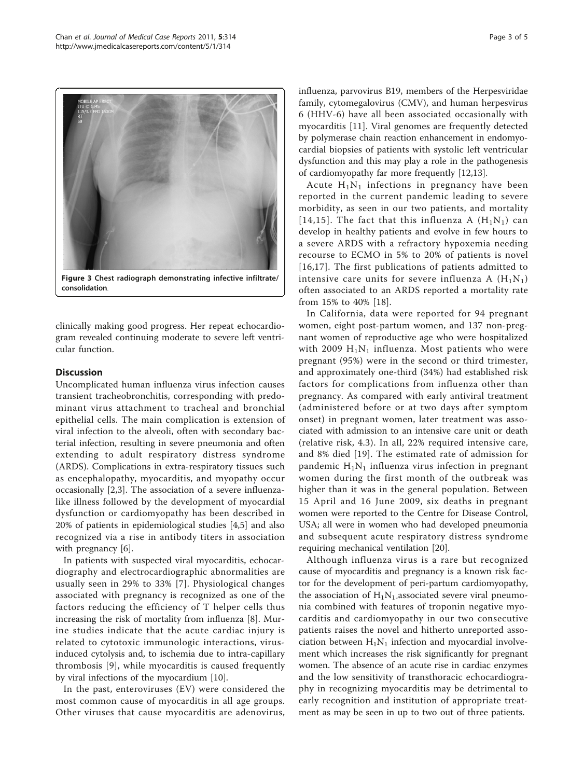<span id="page-2-0"></span>

clinically making good progress. Her repeat echocardiogram revealed continuing moderate to severe left ventricular function.

### **Discussion**

Uncomplicated human influenza virus infection causes transient tracheobronchitis, corresponding with predominant virus attachment to tracheal and bronchial epithelial cells. The main complication is extension of viral infection to the alveoli, often with secondary bacterial infection, resulting in severe pneumonia and often extending to adult respiratory distress syndrome (ARDS). Complications in extra-respiratory tissues such as encephalopathy, myocarditis, and myopathy occur occasionally [[2,3\]](#page-3-0). The association of a severe influenzalike illness followed by the development of myocardial dysfunction or cardiomyopathy has been described in 20% of patients in epidemiological studies [[4,5\]](#page-3-0) and also recognized via a rise in antibody titers in association with pregnancy [[6\]](#page-3-0).

In patients with suspected viral myocarditis, echocardiography and electrocardiographic abnormalities are usually seen in 29% to 33% [\[7\]](#page-3-0). Physiological changes associated with pregnancy is recognized as one of the factors reducing the efficiency of T helper cells thus increasing the risk of mortality from influenza [\[8](#page-3-0)]. Murine studies indicate that the acute cardiac injury is related to cytotoxic immunologic interactions, virusinduced cytolysis and, to ischemia due to intra-capillary thrombosis [\[9](#page-3-0)], while myocarditis is caused frequently by viral infections of the myocardium [[10\]](#page-3-0).

In the past, enteroviruses (EV) were considered the most common cause of myocarditis in all age groups. Other viruses that cause myocarditis are adenovirus, influenza, parvovirus B19, members of the Herpesviridae family, cytomegalovirus (CMV), and human herpesvirus 6 (HHV-6) have all been associated occasionally with myocarditis [[11\]](#page-3-0). Viral genomes are frequently detected by polymerase chain reaction enhancement in endomyocardial biopsies of patients with systolic left ventricular dysfunction and this may play a role in the pathogenesis of cardiomyopathy far more frequently [[12,13](#page-3-0)].

Acute  $H_1N_1$  infections in pregnancy have been reported in the current pandemic leading to severe morbidity, as seen in our two patients, and mortality [[14](#page-3-0),[15](#page-3-0)]. The fact that this influenza A  $(H_1N_1)$  can develop in healthy patients and evolve in few hours to a severe ARDS with a refractory hypoxemia needing recourse to ECMO in 5% to 20% of patients is novel [[16](#page-3-0),[17](#page-3-0)]. The first publications of patients admitted to intensive care units for severe influenza A  $(H_1N_1)$ often associated to an ARDS reported a mortality rate from 15% to 40% [[18\]](#page-4-0).

In California, data were reported for 94 pregnant women, eight post-partum women, and 137 non-pregnant women of reproductive age who were hospitalized with 2009  $H_1N_1$  influenza. Most patients who were pregnant (95%) were in the second or third trimester, and approximately one-third (34%) had established risk factors for complications from influenza other than pregnancy. As compared with early antiviral treatment (administered before or at two days after symptom onset) in pregnant women, later treatment was associated with admission to an intensive care unit or death (relative risk, 4.3). In all, 22% required intensive care, and 8% died [\[19\]](#page-4-0). The estimated rate of admission for pandemic  $H_1N_1$  influenza virus infection in pregnant women during the first month of the outbreak was higher than it was in the general population. Between 15 April and 16 June 2009, six deaths in pregnant women were reported to the Centre for Disease Control, USA; all were in women who had developed pneumonia and subsequent acute respiratory distress syndrome requiring mechanical ventilation [[20](#page-4-0)].

Although influenza virus is a rare but recognized cause of myocarditis and pregnancy is a known risk factor for the development of peri-partum cardiomyopathy, the association of  $H_1N_1$  associated severe viral pneumonia combined with features of troponin negative myocarditis and cardiomyopathy in our two consecutive patients raises the novel and hitherto unreported association between  $H_1N_1$  infection and myocardial involvement which increases the risk significantly for pregnant women. The absence of an acute rise in cardiac enzymes and the low sensitivity of transthoracic echocardiography in recognizing myocarditis may be detrimental to early recognition and institution of appropriate treatment as may be seen in up to two out of three patients.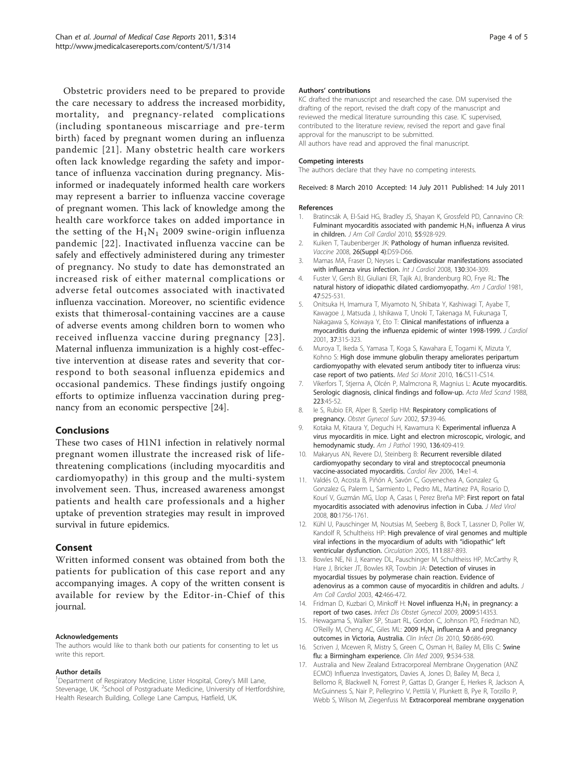<span id="page-3-0"></span>Obstetric providers need to be prepared to provide the care necessary to address the increased morbidity, mortality, and pregnancy-related complications (including spontaneous miscarriage and pre-term birth) faced by pregnant women during an influenza pandemic [[21](#page-4-0)]. Many obstetric health care workers often lack knowledge regarding the safety and importance of influenza vaccination during pregnancy. Misinformed or inadequately informed health care workers may represent a barrier to influenza vaccine coverage of pregnant women. This lack of knowledge among the health care workforce takes on added importance in the setting of the  $H_1N_1$  2009 swine-origin influenza pandemic [[22\]](#page-4-0). Inactivated influenza vaccine can be safely and effectively administered during any trimester of pregnancy. No study to date has demonstrated an increased risk of either maternal complications or adverse fetal outcomes associated with inactivated influenza vaccination. Moreover, no scientific evidence exists that thimerosal-containing vaccines are a cause of adverse events among children born to women who received influenza vaccine during pregnancy [[23\]](#page-4-0). Maternal influenza immunization is a highly cost-effective intervention at disease rates and severity that correspond to both seasonal influenza epidemics and occasional pandemics. These findings justify ongoing efforts to optimize influenza vaccination during pregnancy from an economic perspective [\[24](#page-4-0)].

# Conclusions

These two cases of H1N1 infection in relatively normal pregnant women illustrate the increased risk of lifethreatening complications (including myocarditis and cardiomyopathy) in this group and the multi-system involvement seen. Thus, increased awareness amongst patients and health care professionals and a higher uptake of prevention strategies may result in improved survival in future epidemics.

#### Consent

Written informed consent was obtained from both the patients for publication of this case report and any accompanying images. A copy of the written consent is available for review by the Editor-in-Chief of this journal.

#### Acknowledgements

The authors would like to thank both our patients for consenting to let us write this report.

#### Author details

<sup>1</sup>Department of Respiratory Medicine, Lister Hospital, Corey's Mill Lane, Stevenage, UK. <sup>2</sup>School of Postgraduate Medicine, University of Hertfordshire, Health Research Building, College Lane Campus, Hatfield, UK.

#### Authors' contributions

KC drafted the manuscript and researched the case. DM supervised the drafting of the report, revised the draft copy of the manuscript and reviewed the medical literature surrounding this case. IC supervised, contributed to the literature review, revised the report and gave final approval for the manuscript to be submitted. All authors have read and approved the final manuscript.

Competing interests

The authors declare that they have no competing interests.

Received: 8 March 2010 Accepted: 14 July 2011 Published: 14 July 2011

#### References

- Bratincsák A, El-Said HG, Bradley JS, Shayan K, Grossfeld PD, Cannavino CR: Fulminant myocarditis associated with pandemic  $H_1N_1$  influenza A virus in children. J Am Coll Cardiol 2010, 55:928-929.
- Kuiken T, Taubenberger JK: Pathology of human influenza revisited. Vaccine 2008, 26(Suppl 4):D59-D66.
- 3. Mamas MA, Fraser D, Neyses L: Cardiovascular manifestations associated with influenza virus infection. Int J Cardiol 2008, 130:304-309
- 4. Fuster V, Gersh BJ, Giuliani ER, Tajik AJ, Brandenburg RO, Frye RL: The natural history of idiopathic dilated cardiomyopathy. Am J Cardiol 1981, 47:525-531.
- 5. Onitsuka H, Imamura T, Miyamoto N, Shibata Y, Kashiwagi T, Ayabe T, Kawagoe J, Matsuda J, Ishikawa T, Unoki T, Takenaga M, Fukunaga T, Nakagawa S, Koiwaya Y, Eto T: Clinical manifestations of influenza a myocarditis during the influenza epidemic of winter 1998-1999. J Cardiol 2001, 37:315-323.
- 6. Muroya T, Ikeda S, Yamasa T, Koga S, Kawahara E, Togami K, Mizuta Y, Kohno S: High dose immune globulin therapy ameliorates peripartum cardiomyopathy with elevated serum antibody titer to influenza virus: case report of two patients. Med Sci Monit 2010, 16:CS11-CS14.
- 7. Vikerfors T, Stjerna A, Olcén P, Malmcrona R, Magnius L: Acute myocarditis. Serologic diagnosis, clinical findings and follow-up. Acta Med Scand 1988, 223:45-52.
- 8. Ie S, Rubio ER, Alper B, Szerlip HM: Respiratory complications of pregnancy. Obstet Gynecol Surv 2002, 57:39-46.
- 9. Kotaka M, Kitaura Y, Deguchi H, Kawamura K: Experimental influenza A virus myocarditis in mice. Light and electron microscopic, virologic, and hemodynamic study. Am J Pathol 1990, 136:409-419.
- 10. Makaryus AN, Revere DJ, Steinberg B: Recurrent reversible dilated cardiomyopathy secondary to viral and streptococcal pneumonia vaccine-associated myocarditis. Cardiol Rev 2006, 14:e1-4.
- 11. Valdés O, Acosta B, Piñón A, Savón C, Goyenechea A, Gonzalez G, Gonzalez G, Palerm L, Sarmiento L, Pedro ML, Martínez PA, Rosario D, Kourí V, Guzmán MG, Llop A, Casas I, Perez Breña MP: First report on fatal myocarditis associated with adenovirus infection in Cuba. J Med Virol 2008, 80:1756-1761.
- 12. Kühl U, Pauschinger M, Noutsias M, Seeberg B, Bock T, Lassner D, Poller W, Kandolf R, Schultheiss HP: High prevalence of viral genomes and multiple viral infections in the myocardium of adults with "idiopathic" left ventricular dysfunction. Circulation 2005, 111:887-893.
- 13. Bowles NE, Ni J, Kearney DL, Pauschinger M, Schultheiss HP, McCarthy R, Hare J, Bricker JT, Bowles KR, Towbin JA: Detection of viruses in myocardial tissues by polymerase chain reaction. Evidence of adenovirus as a common cause of myocarditis in children and adults. J Am Coll Cardiol 2003, 42:466-472.
- 14. Fridman D, Kuzbari O, Minkoff H: Novel influenza  $H_1N_1$  in pregnancy: a report of two cases. Infect Dis Obstet Gynecol 2009, 2009:514353.
- 15. Hewagama S, Walker SP, Stuart RL, Gordon C, Johnson PD, Friedman ND, O'Reilly M, Cheng AC, Giles ML: 2009  $H_1N_1$  influenza A and pregnancy outcomes in Victoria, Australia. Clin Infect Dis 2010, 50:686-690.
- 16. Scriven J, Mcewen R, Mistry S, Green C, Osman H, Bailey M, Ellis C: Swine flu: a Birmingham experience. Clin Med 2009, 9:534-538.
- 17. Australia and New Zealand Extracorporeal Membrane Oxygenation (ANZ ECMO) Influenza Investigators, Davies A, Jones D, Bailey M, Beca J, Bellomo R, Blackwell N, Forrest P, Gattas D, Granger E, Herkes R, Jackson A, McGuinness S, Nair P, Pellegrino V, Pettilä V, Plunkett B, Pye R, Torzillo P, Webb S, Wilson M, Ziegenfuss M: Extracorporeal membrane oxygenation